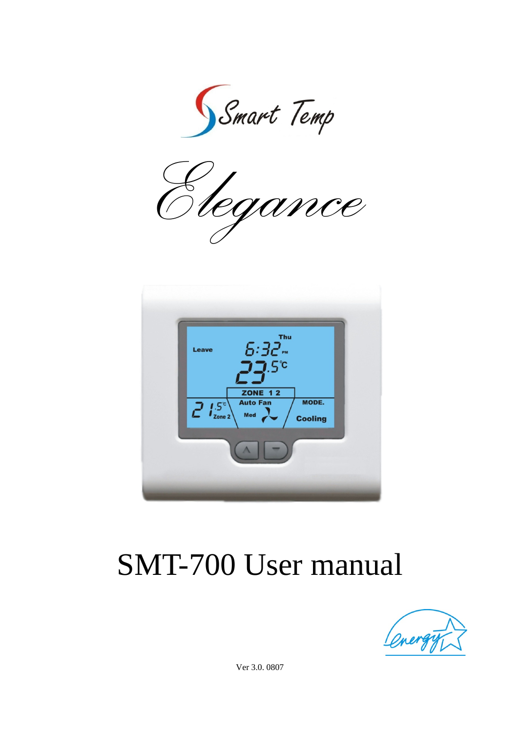Smart Temp

*Elegance*



# SMT-700 User manual



Ver 3.0. 0807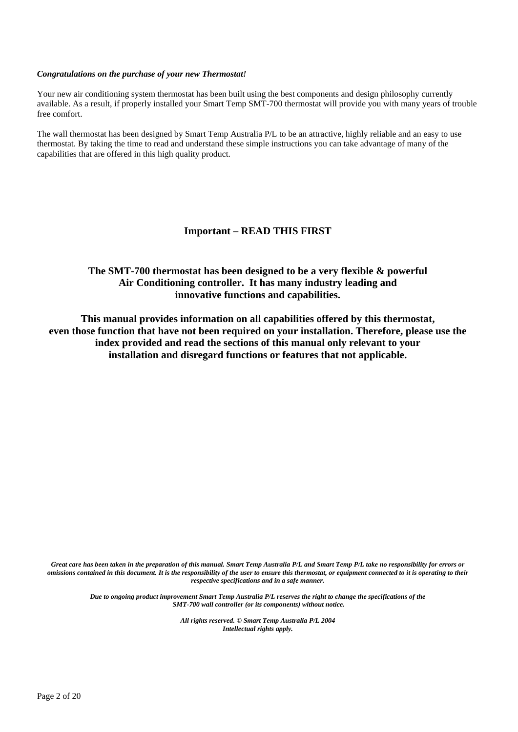# *Congratulations on the purchase of your new Thermostat!*

Your new air conditioning system thermostat has been built using the best components and design philosophy currently available. As a result, if properly installed your Smart Temp SMT-700 thermostat will provide you with many years of trouble free comfort.

The wall thermostat has been designed by Smart Temp Australia P/L to be an attractive, highly reliable and an easy to use thermostat. By taking the time to read and understand these simple instructions you can take advantage of many of the capabilities that are offered in this high quality product.

# **Important – READ THIS FIRST**

# **The SMT-700 thermostat has been designed to be a very flexible & powerful Air Conditioning controller. It has many industry leading and innovative functions and capabilities.**

**This manual provides information on all capabilities offered by this thermostat, even those function that have not been required on your installation. Therefore, please use the index provided and read the sections of this manual only relevant to your installation and disregard functions or features that not applicable.** 

*Great care has been taken in the preparation of this manual. Smart Temp Australia P/L and Smart Temp P/L take no responsibility for errors or omissions contained in this document. It is the responsibility of the user to ensure this thermostat, or equipment connected to it is operating to their respective specifications and in a safe manner.* 

*Due to ongoing product improvement Smart Temp Australia P/L reserves the right to change the specifications of the SMT-700 wall controller (or its components) without notice.* 

> *All rights reserved. © Smart Temp Australia P/L 2004 Intellectual rights apply.*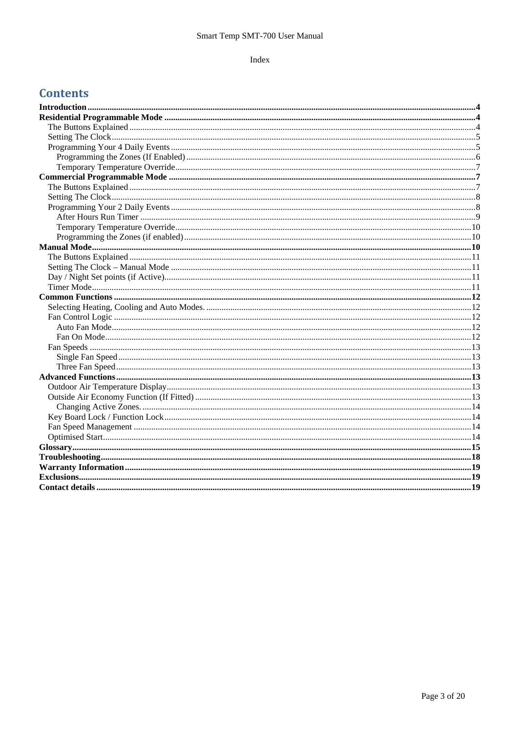# Index

# **Contents**

| $\bf{Manual\ Mode.}\label{Mode} \begin{minipage}[c]{.4cm} {\bf \emph{Manual\ Mode}} \end{minipage} \begin{minipage}[c]{.4cm} {\bf \emph{Manual\ Mode}} \end{minipage} \begin{minipage}[c]{.4cm} {\bf \emph{Manual\ Mode}} \end{minipage} \begin{minipage}[c]{.4cm} {\bf \emph{Manual\ Mode}} \end{minipage} \begin{minipage}[c]{.4cm} {\bf \emph{Manual\ Mode}} \end{minipage} \begin{minipage}[c]{.4cm} {\bf \emph{Manual\ Mode}} \end{minipage} \begin{minipage}[c]{.4cm}$ |  |
|------------------------------------------------------------------------------------------------------------------------------------------------------------------------------------------------------------------------------------------------------------------------------------------------------------------------------------------------------------------------------------------------------------------------------------------------------------------------------|--|
|                                                                                                                                                                                                                                                                                                                                                                                                                                                                              |  |
|                                                                                                                                                                                                                                                                                                                                                                                                                                                                              |  |
|                                                                                                                                                                                                                                                                                                                                                                                                                                                                              |  |
|                                                                                                                                                                                                                                                                                                                                                                                                                                                                              |  |
|                                                                                                                                                                                                                                                                                                                                                                                                                                                                              |  |
|                                                                                                                                                                                                                                                                                                                                                                                                                                                                              |  |
|                                                                                                                                                                                                                                                                                                                                                                                                                                                                              |  |
|                                                                                                                                                                                                                                                                                                                                                                                                                                                                              |  |
|                                                                                                                                                                                                                                                                                                                                                                                                                                                                              |  |
|                                                                                                                                                                                                                                                                                                                                                                                                                                                                              |  |
|                                                                                                                                                                                                                                                                                                                                                                                                                                                                              |  |
|                                                                                                                                                                                                                                                                                                                                                                                                                                                                              |  |
|                                                                                                                                                                                                                                                                                                                                                                                                                                                                              |  |
|                                                                                                                                                                                                                                                                                                                                                                                                                                                                              |  |
|                                                                                                                                                                                                                                                                                                                                                                                                                                                                              |  |
|                                                                                                                                                                                                                                                                                                                                                                                                                                                                              |  |
|                                                                                                                                                                                                                                                                                                                                                                                                                                                                              |  |
|                                                                                                                                                                                                                                                                                                                                                                                                                                                                              |  |
|                                                                                                                                                                                                                                                                                                                                                                                                                                                                              |  |
|                                                                                                                                                                                                                                                                                                                                                                                                                                                                              |  |
|                                                                                                                                                                                                                                                                                                                                                                                                                                                                              |  |
|                                                                                                                                                                                                                                                                                                                                                                                                                                                                              |  |
|                                                                                                                                                                                                                                                                                                                                                                                                                                                                              |  |
|                                                                                                                                                                                                                                                                                                                                                                                                                                                                              |  |
|                                                                                                                                                                                                                                                                                                                                                                                                                                                                              |  |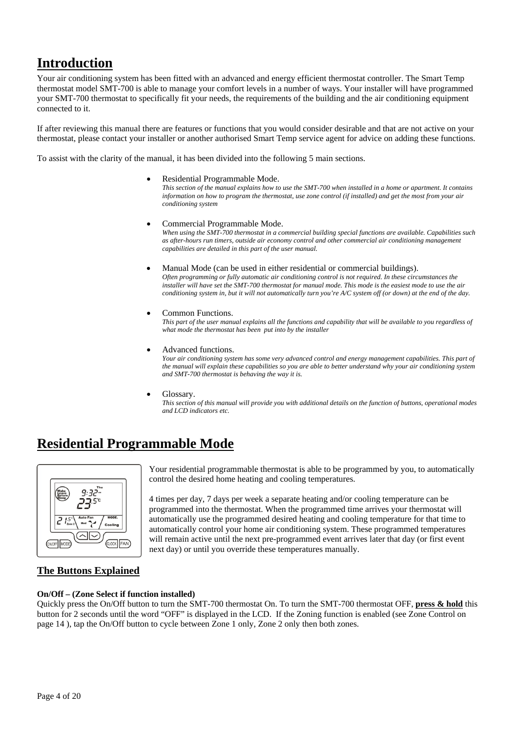# **Introduction**

Your air conditioning system has been fitted with an advanced and energy efficient thermostat controller. The Smart Temp thermostat model SMT-700 is able to manage your comfort levels in a number of ways. Your installer will have programmed your SMT-700 thermostat to specifically fit your needs, the requirements of the building and the air conditioning equipment connected to it.

If after reviewing this manual there are features or functions that you would consider desirable and that are not active on your thermostat, please contact your installer or another authorised Smart Temp service agent for advice on adding these functions.

To assist with the clarity of the manual, it has been divided into the following 5 main sections.

• Residential Programmable Mode.

*This section of the manual explains how to use the SMT-700 when installed in a home or apartment. It contains information on how to program the thermostat, use zone control (if installed) and get the most from your air conditioning system*

• Commercial Programmable Mode.

*When using the SMT-700 thermostat in a commercial building special functions are available. Capabilities such as after-hours run timers, outside air economy control and other commercial air conditioning management capabilities are detailed in this part of the user manual.*

• Manual Mode (can be used in either residential or commercial buildings).

*Often programming or fully automatic air conditioning control is not required. In these circumstances the installer will have set the SMT-700 thermostat for manual mode. This mode is the easiest mode to use the air conditioning system in, but it will not automatically turn you're A/C system off (or down) at the end of the day.* 

• Common Functions.

*This part of the user manual explains all the functions and capability that will be available to you regardless of what mode the thermostat has been put into by the installer* 

Advanced functions.

*Your air conditioning system has some very advanced control and energy management capabilities. This part of the manual will explain these capabilities so you are able to better understand why your air conditioning system and SMT-700 thermostat is behaving the way it is.* 

Glossary.

*This section of this manual will provide you with additional details on the function of buttons, operational modes and LCD indicators etc.*

# **Residential Programmable Mode**



Your residential programmable thermostat is able to be programmed by you, to automatically control the desired home heating and cooling temperatures.

4 times per day, 7 days per week a separate heating and/or cooling temperature can be programmed into the thermostat. When the programmed time arrives your thermostat will automatically use the programmed desired heating and cooling temperature for that time to automatically control your home air conditioning system. These programmed temperatures will remain active until the next pre-programmed event arrives later that day (or first event next day) or until you override these temperatures manually.

# **The Buttons Explained**

# **On/Off – (Zone Select if function installed)**

Quickly press the On/Off button to turn the SMT-700 thermostat On. To turn the SMT-700 thermostat OFF, **press & hold** this button for 2 seconds until the word "OFF" is displayed in the LCD. If the Zoning function is enabled (see Zone Control on page 14 ), tap the On/Off button to cycle between Zone 1 only, Zone 2 only then both zones.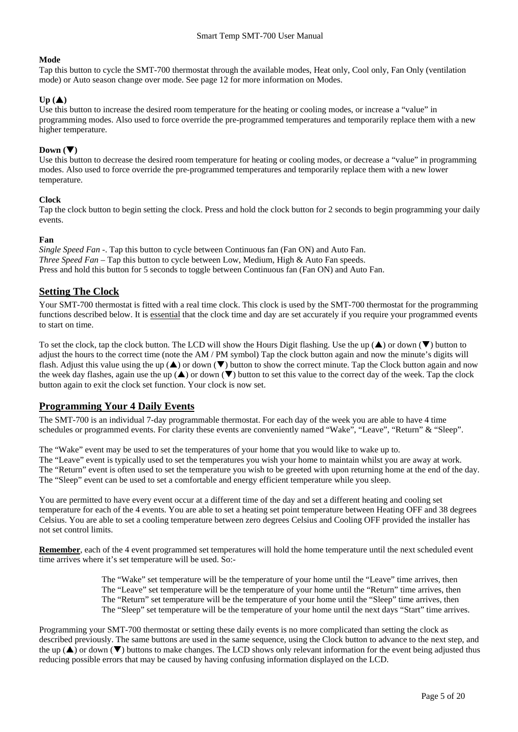# **Mode**

Tap this button to cycle the SMT-700 thermostat through the available modes, Heat only, Cool only, Fan Only (ventilation mode) or Auto season change over mode. See page 12 for more information on Modes.

# $Up(\triangle)$

Use this button to increase the desired room temperature for the heating or cooling modes, or increase a "value" in programming modes. Also used to force override the pre-programmed temperatures and temporarily replace them with a new higher temperature.

# Down  $(\nabla)$

Use this button to decrease the desired room temperature for heating or cooling modes, or decrease a "value" in programming modes. Also used to force override the pre-programmed temperatures and temporarily replace them with a new lower temperature.

# **Clock**

Tap the clock button to begin setting the clock. Press and hold the clock button for 2 seconds to begin programming your daily events.

#### **Fan**

*Single Speed Fan -*. Tap this button to cycle between Continuous fan (Fan ON) and Auto Fan. *Three Speed Fan* – Tap this button to cycle between Low, Medium, High & Auto Fan speeds. Press and hold this button for 5 seconds to toggle between Continuous fan (Fan ON) and Auto Fan.

# **Setting The Clock**

Your SMT-700 thermostat is fitted with a real time clock. This clock is used by the SMT-700 thermostat for the programming functions described below. It is essential that the clock time and day are set accurately if you require your programmed events to start on time.

To set the clock, tap the clock button. The LCD will show the Hours Digit flashing. Use the up  $(\triangle)$  or down  $(\blacktriangledown)$  button to adjust the hours to the correct time (note the AM / PM symbol) Tap the clock button again and now the minute's digits will flash. Adjust this value using the up  $(\triangle)$  or down  $(\blacktriangledown)$  button to show the correct minute. Tap the Clock button again and now the week day flashes, again use the up  $(\triangle)$  or down  $(\triangledown)$  button to set this value to the correct day of the week. Tap the clock button again to exit the clock set function. Your clock is now set.

# **Programming Your 4 Daily Events**

The SMT-700 is an individual 7-day programmable thermostat. For each day of the week you are able to have 4 time schedules or programmed events. For clarity these events are conveniently named "Wake", "Leave", "Return" & "Sleep".

The "Wake" event may be used to set the temperatures of your home that you would like to wake up to. The "Leave" event is typically used to set the temperatures you wish your home to maintain whilst you are away at work. The "Return" event is often used to set the temperature you wish to be greeted with upon returning home at the end of the day. The "Sleep" event can be used to set a comfortable and energy efficient temperature while you sleep.

You are permitted to have every event occur at a different time of the day and set a different heating and cooling set temperature for each of the 4 events. You are able to set a heating set point temperature between Heating OFF and 38 degrees Celsius. You are able to set a cooling temperature between zero degrees Celsius and Cooling OFF provided the installer has not set control limits.

**Remember**, each of the 4 event programmed set temperatures will hold the home temperature until the next scheduled event time arrives where it's set temperature will be used. So:-

> The "Wake" set temperature will be the temperature of your home until the "Leave" time arrives, then The "Leave" set temperature will be the temperature of your home until the "Return" time arrives, then The "Return" set temperature will be the temperature of your home until the "Sleep" time arrives, then The "Sleep" set temperature will be the temperature of your home until the next days "Start" time arrives.

Programming your SMT-700 thermostat or setting these daily events is no more complicated than setting the clock as described previously. The same buttons are used in the same sequence, using the Clock button to advance to the next step, and the up  $(\blacktriangle)$  or down  $(\blacktriangledown)$  buttons to make changes. The LCD shows only relevant information for the event being adjusted thus reducing possible errors that may be caused by having confusing information displayed on the LCD.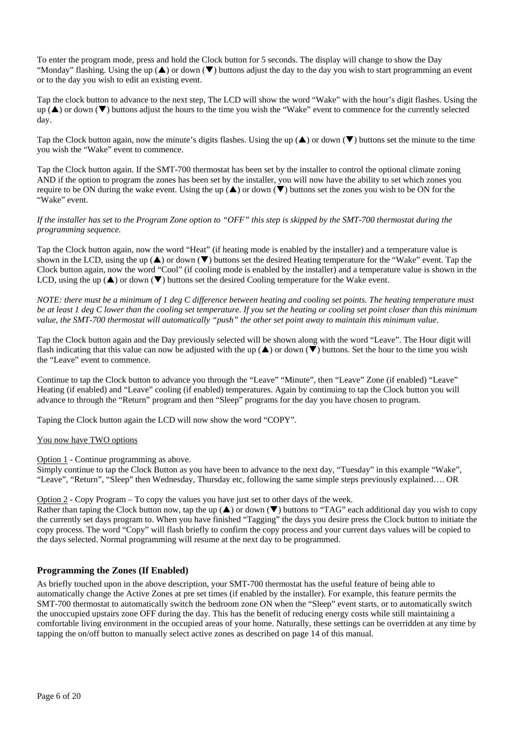To enter the program mode, press and hold the Clock button for 5 seconds. The display will change to show the Day "Monday" flashing. Using the up  $(\blacktriangle)$  or down  $(\blacktriangledown)$  buttons adjust the day to the day you wish to start programming an event or to the day you wish to edit an existing event.

Tap the clock button to advance to the next step, The LCD will show the word "Wake" with the hour's digit flashes. Using the  $up(\blacktriangle)$  or down  $(\blacktriangledown)$  buttons adjust the hours to the time you wish the "Wake" event to commence for the currently selected day.

Tap the Clock button again, now the minute's digits flashes. Using the up  $(\triangle)$  or down  $(\blacktriangledown)$  buttons set the minute to the time you wish the "Wake" event to commence.

Tap the Clock button again. If the SMT-700 thermostat has been set by the installer to control the optional climate zoning AND if the option to program the zones has been set by the installer, you will now have the ability to set which zones you require to be ON during the wake event. Using the up  $(\triangle)$  or down  $(\triangledown)$  buttons set the zones you wish to be ON for the "Wake" event.

# *If the installer has set to the Program Zone option to "OFF" this step is skipped by the SMT-700 thermostat during the programming sequence.*

Tap the Clock button again, now the word "Heat" (if heating mode is enabled by the installer) and a temperature value is shown in the LCD, using the up  $(\blacktriangle)$  or down  $(\blacktriangledown)$  buttons set the desired Heating temperature for the "Wake" event. Tap the Clock button again, now the word "Cool" (if cooling mode is enabled by the installer) and a temperature value is shown in the LCD, using the up  $(\triangle)$  or down  $(\blacktriangledown)$  buttons set the desired Cooling temperature for the Wake event.

*NOTE: there must be a minimum of 1 deg C difference between heating and cooling set points. The heating temperature must be at least 1 deg C lower than the cooling set temperature. If you set the heating or cooling set point closer than this minimum value, the SMT-700 thermostat will automatically "push" the other set point away to maintain this minimum value.* 

Tap the Clock button again and the Day previously selected will be shown along with the word "Leave". The Hour digit will flash indicating that this value can now be adjusted with the up  $(\triangle)$  or down  $(\blacktriangledown)$  buttons. Set the hour to the time you wish the "Leave" event to commence.

Continue to tap the Clock button to advance you through the "Leave" "Minute", then "Leave" Zone (if enabled) "Leave" Heating (if enabled) and "Leave" cooling (if enabled) temperatures. Again by continuing to tap the Clock button you will advance to through the "Return" program and then "Sleep" programs for the day you have chosen to program.

Taping the Clock button again the LCD will now show the word "COPY".

# You now have TWO options

Option 1 - Continue programming as above.

Simply continue to tap the Clock Button as you have been to advance to the next day, "Tuesday" in this example "Wake", "Leave", "Return", "Sleep" then Wednesday, Thursday etc, following the same simple steps previously explained…. OR

Option 2 - Copy Program – To copy the values you have just set to other days of the week.

Rather than taping the Clock button now, tap the up  $(\triangle)$  or down  $(\triangledown)$  buttons to "TAG" each additional day you wish to copy the currently set days program to. When you have finished "Tagging" the days you desire press the Clock button to initiate the copy process. The word "Copy" will flash briefly to confirm the copy process and your current days values will be copied to the days selected. Normal programming will resume at the next day to be programmed.

# **Programming the Zones (If Enabled)**

As briefly touched upon in the above description, your SMT-700 thermostat has the useful feature of being able to automatically change the Active Zones at pre set times (if enabled by the installer). For example, this feature permits the SMT-700 thermostat to automatically switch the bedroom zone ON when the "Sleep" event starts, or to automatically switch the unoccupied upstairs zone OFF during the day. This has the benefit of reducing energy costs while still maintaining a comfortable living environment in the occupied areas of your home. Naturally, these settings can be overridden at any time by tapping the on/off button to manually select active zones as described on page 14 of this manual.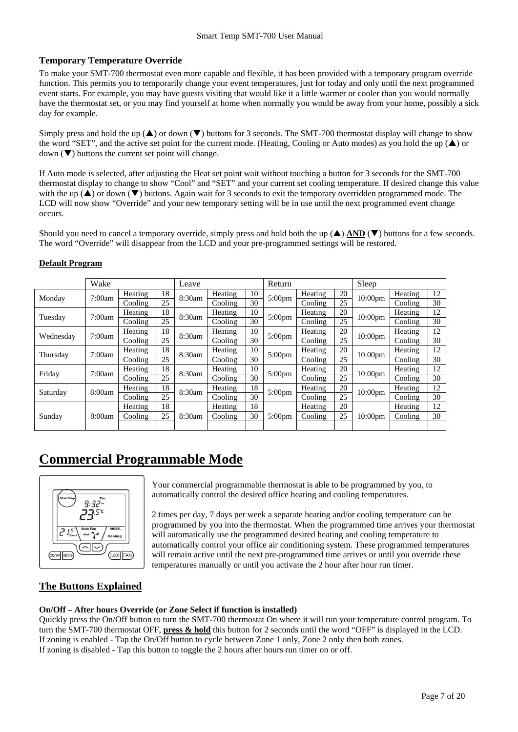# **Temporary Temperature Override**

To make your SMT-700 thermostat even more capable and flexible, it has been provided with a temporary program override function. This permits you to temporarily change your event temperatures, just for today and only until the next programmed event starts. For example, you may have guests visiting that would like it a little warmer or cooler than you would normally have the thermostat set, or you may find yourself at home when normally you would be away from your home, possibly a sick day for example.

Simply press and hold the up  $(\triangle)$  or down  $(\triangledown)$  buttons for 3 seconds. The SMT-700 thermostat display will change to show the word "SET", and the active set point for the current mode. (Heating, Cooling or Auto modes) as you hold the up  $(\triangle)$  or down  $(\nabla)$  buttons the current set point will change.

If Auto mode is selected, after adjusting the Heat set point wait without touching a button for 3 seconds for the SMT-700 thermostat display to change to show "Cool" and "SET" and your current set cooling temperature. If desired change this value with the up  $(\blacktriangle)$  or down  $(\blacktriangledown)$  buttons. Again wait for 3 seconds to exit the temporary overridden programmed mode. The LCD will now show "Override" and your new temporary setting will be in use until the next programmed event change occurs.

Should you need to cancel a temporary override, simply press and hold both the up  $(\triangle)$  AND  $(\triangledown)$  buttons for a few seconds. The word "Override" will disappear from the LCD and your pre-programmed settings will be restored.

|           | Wake   |         |    | Leave  |         |    | Return             |         |    | Sleep               |         |    |
|-----------|--------|---------|----|--------|---------|----|--------------------|---------|----|---------------------|---------|----|
| Monday    | 7:00am | Heating | 18 | 8:30am | Heating | 10 | 5:00 <sub>pm</sub> | Heating | 20 | 10:00 <sub>pm</sub> | Heating | 12 |
|           |        | Cooling | 25 |        | Cooling | 30 |                    | Cooling | 25 |                     | Cooling | 30 |
| Tuesday   | 7:00am | Heating | 18 | 8:30am | Heating | 10 | 5:00 <sub>pm</sub> | Heating | 20 | $10:00$ pm          | Heating | 12 |
|           |        | Cooling | 25 |        | Cooling | 30 |                    | Cooling | 25 |                     | Cooling | 30 |
| Wednesday | 7:00am | Heating | 18 | 8:30am | Heating | 10 | 5:00 <sub>pm</sub> | Heating | 20 | 10:00 <sub>pm</sub> | Heating | 12 |
|           |        | Cooling | 25 |        | Cooling | 30 |                    | Cooling | 25 |                     | Cooling | 30 |
| Thursday  | 7:00am | Heating | 18 | 8:30am | Heating | 10 | 5:00 <sub>pm</sub> | Heating | 20 | 10:00 <sub>pm</sub> | Heating | 12 |
|           |        | Cooling | 25 |        | Cooling | 30 |                    | Cooling | 25 |                     | Cooling | 30 |
| Friday    | 7:00am | Heating | 18 | 8:30am | Heating | 10 | 5:00 <sub>pm</sub> | Heating | 20 | $10:00$ pm          | Heating | 12 |
|           |        | Cooling | 25 |        | Cooling | 30 |                    | Cooling | 25 |                     | Cooling | 30 |
| Saturday  | 8:00am | Heating | 18 | 8:30am | Heating | 18 | 5:00 <sub>pm</sub> | Heating | 20 | $10:00$ pm          | Heating | 12 |
|           |        | Cooling | 25 |        | Cooling | 30 |                    | Cooling | 25 |                     | Cooling | 30 |
| Sunday    | 8:00am | Heating | 18 | 8:30am | Heating | 18 | $5:00$ pm          | Heating | 20 | $10:00$ pm          | Heating | 12 |
|           |        | Cooling | 25 |        | Cooling | 30 |                    | Cooling | 25 |                     | Cooling | 30 |
|           |        |         |    |        |         |    |                    |         |    |                     |         |    |

# **Default Program**

# **Commercial Programmable Mode**



Your commercial programmable thermostat is able to be programmed by you, to automatically control the desired office heating and cooling temperatures.

2 times per day, 7 days per week a separate heating and/or cooling temperature can be programmed by you into the thermostat. When the programmed time arrives your thermostat will automatically use the programmed desired heating and cooling temperature to automatically control your office air conditioning system. These programmed temperatures will remain active until the next pre-programmed time arrives or until you override these temperatures manually or until you activate the 2 hour after hour run timer.

# **The Buttons Explained**

# **On/Off – After hours Override (or Zone Select if function is installed)**

Quickly press the On/Off button to turn the SMT-700 thermostat On where it will run your temperature control program. To turn the SMT-700 thermostat OFF, **press & hold** this button for 2 seconds until the word "OFF" is displayed in the LCD. If zoning is enabled - Tap the On/Off button to cycle between Zone 1 only, Zone 2 only then both zones. If zoning is disabled - Tap this button to toggle the 2 hours after hours run timer on or off.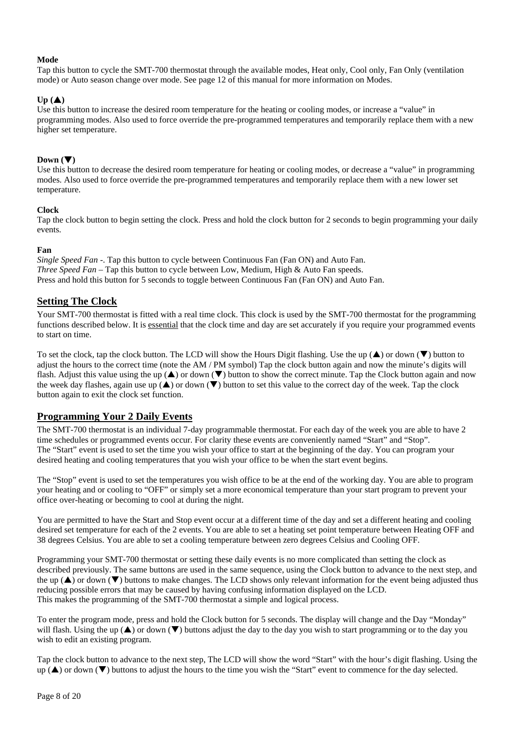# **Mode**

Tap this button to cycle the SMT-700 thermostat through the available modes, Heat only, Cool only, Fan Only (ventilation mode) or Auto season change over mode. See page 12 of this manual for more information on Modes.

# $Up(\triangle)$

Use this button to increase the desired room temperature for the heating or cooling modes, or increase a "value" in programming modes. Also used to force override the pre-programmed temperatures and temporarily replace them with a new higher set temperature.

# Down  $(\nabla)$

Use this button to decrease the desired room temperature for heating or cooling modes, or decrease a "value" in programming modes. Also used to force override the pre-programmed temperatures and temporarily replace them with a new lower set temperature.

# **Clock**

Tap the clock button to begin setting the clock. Press and hold the clock button for 2 seconds to begin programming your daily events.

# **Fan**

*Single Speed Fan -*. Tap this button to cycle between Continuous Fan (Fan ON) and Auto Fan. *Three Speed Fan* – Tap this button to cycle between Low, Medium, High & Auto Fan speeds. Press and hold this button for 5 seconds to toggle between Continuous Fan (Fan ON) and Auto Fan.

# **Setting The Clock**

Your SMT-700 thermostat is fitted with a real time clock. This clock is used by the SMT-700 thermostat for the programming functions described below. It is essential that the clock time and day are set accurately if you require your programmed events to start on time.

To set the clock, tap the clock button. The LCD will show the Hours Digit flashing. Use the up  $(\blacktriangle)$  or down  $(\blacktriangledown)$  button to adjust the hours to the correct time (note the AM / PM symbol) Tap the clock button again and now the minute's digits will flash. Adjust this value using the up  $(\triangle)$  or down  $(\triangledown)$  button to show the correct minute. Tap the Clock button again and now the week day flashes, again use up  $(\triangle)$  or down  $(\triangledown)$  button to set this value to the correct day of the week. Tap the clock button again to exit the clock set function.

# **Programming Your 2 Daily Events**

The SMT-700 thermostat is an individual 7-day programmable thermostat. For each day of the week you are able to have 2 time schedules or programmed events occur. For clarity these events are conveniently named "Start" and "Stop". The "Start" event is used to set the time you wish your office to start at the beginning of the day. You can program your desired heating and cooling temperatures that you wish your office to be when the start event begins.

The "Stop" event is used to set the temperatures you wish office to be at the end of the working day. You are able to program your heating and or cooling to "OFF" or simply set a more economical temperature than your start program to prevent your office over-heating or becoming to cool at during the night.

You are permitted to have the Start and Stop event occur at a different time of the day and set a different heating and cooling desired set temperature for each of the 2 events. You are able to set a heating set point temperature between Heating OFF and 38 degrees Celsius. You are able to set a cooling temperature between zero degrees Celsius and Cooling OFF.

Programming your SMT-700 thermostat or setting these daily events is no more complicated than setting the clock as described previously. The same buttons are used in the same sequence, using the Clock button to advance to the next step, and the up  $(\blacktriangle)$  or down  $(\blacktriangledown)$  buttons to make changes. The LCD shows only relevant information for the event being adjusted thus reducing possible errors that may be caused by having confusing information displayed on the LCD. This makes the programming of the SMT-700 thermostat a simple and logical process.

To enter the program mode, press and hold the Clock button for 5 seconds. The display will change and the Day "Monday" will flash. Using the up  $(\blacktriangle)$  or down  $(\blacktriangledown)$  buttons adjust the day to the day you wish to start programming or to the day you wish to edit an existing program.

Tap the clock button to advance to the next step, The LCD will show the word "Start" with the hour's digit flashing. Using the  $up(\blacktriangle)$  or down ( $\nblacktriangledown$ ) buttons to adjust the hours to the time you wish the "Start" event to commence for the day selected.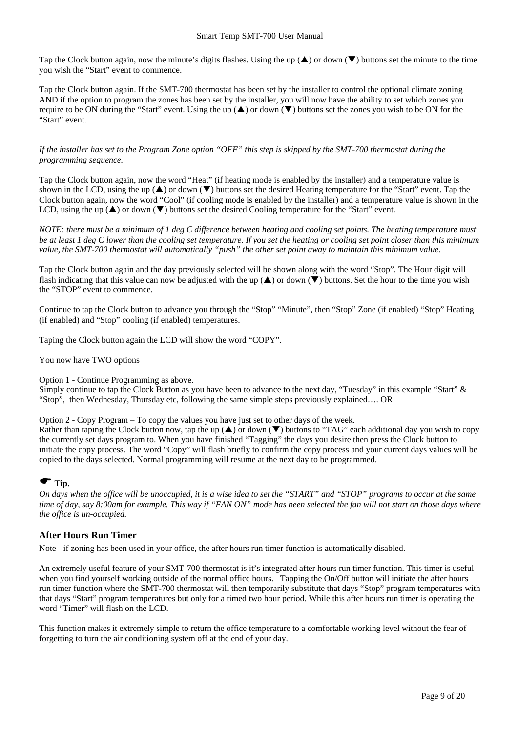Tap the Clock button again, now the minute's digits flashes. Using the up  $(\triangle)$  or down  $(\blacktriangledown)$  buttons set the minute to the time you wish the "Start" event to commence.

Tap the Clock button again. If the SMT-700 thermostat has been set by the installer to control the optional climate zoning AND if the option to program the zones has been set by the installer, you will now have the ability to set which zones you require to be ON during the "Start" event. Using the up  $(\triangle)$  or down  $(\triangledown)$  buttons set the zones you wish to be ON for the "Start" event.

# *If the installer has set to the Program Zone option "OFF" this step is skipped by the SMT-700 thermostat during the programming sequence.*

Tap the Clock button again, now the word "Heat" (if heating mode is enabled by the installer) and a temperature value is shown in the LCD, using the up  $(\triangle)$  or down  $(\blacktriangledown)$  buttons set the desired Heating temperature for the "Start" event. Tap the Clock button again, now the word "Cool" (if cooling mode is enabled by the installer) and a temperature value is shown in the LCD, using the up  $(\triangle)$  or down  $(\triangledown)$  buttons set the desired Cooling temperature for the "Start" event.

*NOTE: there must be a minimum of 1 deg C difference between heating and cooling set points. The heating temperature must be at least 1 deg C lower than the cooling set temperature. If you set the heating or cooling set point closer than this minimum value, the SMT-700 thermostat will automatically "push" the other set point away to maintain this minimum value.* 

Tap the Clock button again and the day previously selected will be shown along with the word "Stop". The Hour digit will flash indicating that this value can now be adjusted with the up  $(\triangle)$  or down  $(\overline{\blacktriangledown})$  buttons. Set the hour to the time you wish the "STOP" event to commence.

Continue to tap the Clock button to advance you through the "Stop" "Minute", then "Stop" Zone (if enabled) "Stop" Heating (if enabled) and "Stop" cooling (if enabled) temperatures.

Taping the Clock button again the LCD will show the word "COPY".

# You now have TWO options

Option 1 - Continue Programming as above.

Simply continue to tap the Clock Button as you have been to advance to the next day, "Tuesday" in this example "Start" & "Stop", then Wednesday, Thursday etc, following the same simple steps previously explained…. OR

Option 2 - Copy Program – To copy the values you have just set to other days of the week.

Rather than taping the Clock button now, tap the up  $(\triangle)$  or down  $(\triangledown)$  buttons to "TAG" each additional day you wish to copy the currently set days program to. When you have finished "Tagging" the days you desire then press the Clock button to initiate the copy process. The word "Copy" will flash briefly to confirm the copy process and your current days values will be copied to the days selected. Normal programming will resume at the next day to be programmed.

# $\bullet$  Tip.

*On days when the office will be unoccupied, it is a wise idea to set the "START" and "STOP" programs to occur at the same time of day, say 8:00am for example. This way if "FAN ON" mode has been selected the fan will not start on those days where the office is un-occupied.* 

# **After Hours Run Timer**

Note - if zoning has been used in your office, the after hours run timer function is automatically disabled.

An extremely useful feature of your SMT-700 thermostat is it's integrated after hours run timer function. This timer is useful when you find yourself working outside of the normal office hours. Tapping the On/Off button will initiate the after hours run timer function where the SMT-700 thermostat will then temporarily substitute that days "Stop" program temperatures with that days "Start" program temperatures but only for a timed two hour period. While this after hours run timer is operating the word "Timer" will flash on the LCD.

This function makes it extremely simple to return the office temperature to a comfortable working level without the fear of forgetting to turn the air conditioning system off at the end of your day.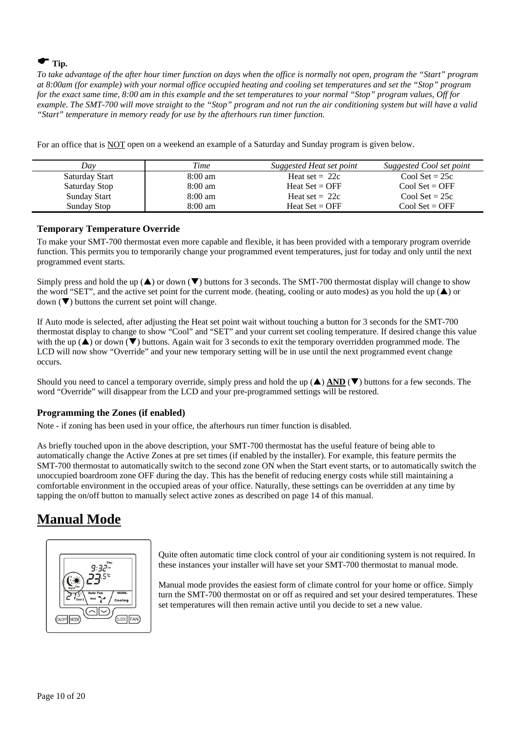# $\bullet$  Tip.

*To take advantage of the after hour timer function on days when the office is normally not open, program the "Start" program at 8:00am (for example) with your normal office occupied heating and cooling set temperatures and set the "Stop" program for the exact same time, 8:00 am in this example and the set temperatures to your normal "Stop" program values, Off for example. The SMT-700 will move straight to the "Stop" program and not run the air conditioning system but will have a valid "Start" temperature in memory ready for use by the afterhours run timer function.* 

For an office that is NOT open on a weekend an example of a Saturday and Sunday program is given below.

| Day            | Time              | Suggested Heat set point | Suggested Cool set point |
|----------------|-------------------|--------------------------|--------------------------|
| Saturday Start | $8:00 \text{ am}$ | Heat set $= 22c$         | Cool Set = $25c$         |
| Saturday Stop  | $8:00 \text{ am}$ | Heat $Set = OFF$         | $Cool$ Set = OFF         |
| Sunday Start   | $8:00 \text{ am}$ | Heat set $= 22c$         | Cool Set = $25c$         |
| Sunday Stop    | $8:00 \text{ am}$ | Heat $Set = OFF$         | $Cool Set = OFF$         |

# **Temporary Temperature Override**

To make your SMT-700 thermostat even more capable and flexible, it has been provided with a temporary program override function. This permits you to temporarily change your programmed event temperatures, just for today and only until the next programmed event starts.

Simply press and hold the up  $(\triangle)$  or down  $(\triangledown)$  buttons for 3 seconds. The SMT-700 thermostat display will change to show the word "SET", and the active set point for the current mode. (heating, cooling or auto modes) as you hold the up  $(\triangle)$  or  $down(\nabla)$  buttons the current set point will change.

If Auto mode is selected, after adjusting the Heat set point wait without touching a button for 3 seconds for the SMT-700 thermostat display to change to show "Cool" and "SET" and your current set cooling temperature. If desired change this value with the up  $(\triangle)$  or down  $(\blacktriangledown)$  buttons. Again wait for 3 seconds to exit the temporary overridden programmed mode. The LCD will now show "Override" and your new temporary setting will be in use until the next programmed event change occurs.

Should you need to cancel a temporary override, simply press and hold the up  $(\triangle)$  AND  $(\triangledown)$  buttons for a few seconds. The word "Override" will disappear from the LCD and your pre-programmed settings will be restored.

# **Programming the Zones (if enabled)**

Note - if zoning has been used in your office, the afterhours run timer function is disabled.

As briefly touched upon in the above description, your SMT-700 thermostat has the useful feature of being able to automatically change the Active Zones at pre set times (if enabled by the installer). For example, this feature permits the SMT-700 thermostat to automatically switch to the second zone ON when the Start event starts, or to automatically switch the unoccupied boardroom zone OFF during the day. This has the benefit of reducing energy costs while still maintaining a comfortable environment in the occupied areas of your office. Naturally, these settings can be overridden at any time by tapping the on/off button to manually select active zones as described on page 14 of this manual.

# **Manual Mode**



Quite often automatic time clock control of your air conditioning system is not required. In these instances your installer will have set your SMT-700 thermostat to manual mode.

Manual mode provides the easiest form of climate control for your home or office. Simply turn the SMT-700 thermostat on or off as required and set your desired temperatures. These set temperatures will then remain active until you decide to set a new value.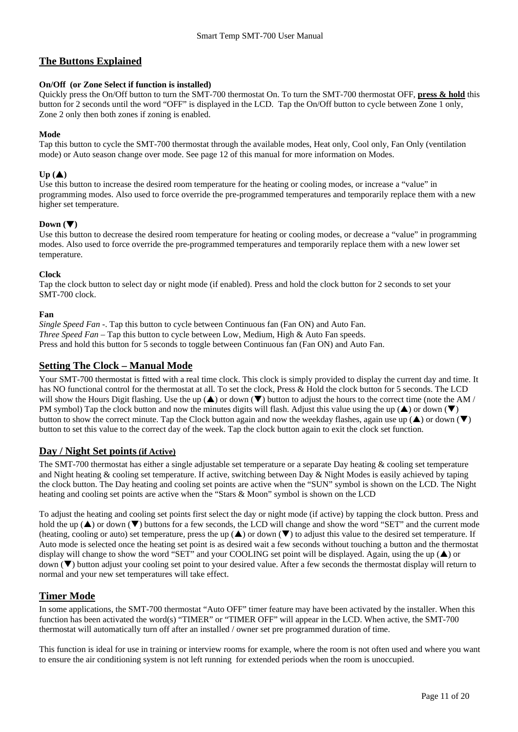# **The Buttons Explained**

# **On/Off (or Zone Select if function is installed)**

Quickly press the On/Off button to turn the SMT-700 thermostat On. To turn the SMT-700 thermostat OFF, **press & hold** this button for 2 seconds until the word "OFF" is displayed in the LCD. Tap the On/Off button to cycle between Zone 1 only, Zone 2 only then both zones if zoning is enabled.

# **Mode**

Tap this button to cycle the SMT-700 thermostat through the available modes, Heat only, Cool only, Fan Only (ventilation mode) or Auto season change over mode. See page 12 of this manual for more information on Modes.

# $Up(\triangle)$

Use this button to increase the desired room temperature for the heating or cooling modes, or increase a "value" in programming modes. Also used to force override the pre-programmed temperatures and temporarily replace them with a new higher set temperature.

# Down  $(\nabla)$

Use this button to decrease the desired room temperature for heating or cooling modes, or decrease a "value" in programming modes. Also used to force override the pre-programmed temperatures and temporarily replace them with a new lower set temperature.

# **Clock**

Tap the clock button to select day or night mode (if enabled). Press and hold the clock button for 2 seconds to set your SMT-700 clock.

# **Fan**

*Single Speed Fan -*. Tap this button to cycle between Continuous fan (Fan ON) and Auto Fan. *Three Speed Fan* – Tap this button to cycle between Low, Medium, High & Auto Fan speeds. Press and hold this button for 5 seconds to toggle between Continuous fan (Fan ON) and Auto Fan.

# **Setting The Clock – Manual Mode**

Your SMT-700 thermostat is fitted with a real time clock. This clock is simply provided to display the current day and time. It has NO functional control for the thermostat at all. To set the clock, Press & Hold the clock button for 5 seconds. The LCD will show the Hours Digit flashing. Use the up  $(\triangle)$  or down  $(\triangledown)$  button to adjust the hours to the correct time (note the AM / PM symbol) Tap the clock button and now the minutes digits will flash. Adjust this value using the up  $(\triangle)$  or down  $(\blacktriangledown)$ button to show the correct minute. Tap the Clock button again and now the weekday flashes, again use up  $(\blacktriangle)$  or down  $(\blacktriangledown)$ button to set this value to the correct day of the week. Tap the clock button again to exit the clock set function.

# **Day / Night Set points (if Active)**

The SMT-700 thermostat has either a single adjustable set temperature or a separate Day heating & cooling set temperature and Night heating & cooling set temperature. If active, switching between Day & Night Modes is easily achieved by taping the clock button. The Day heating and cooling set points are active when the "SUN" symbol is shown on the LCD. The Night heating and cooling set points are active when the "Stars & Moon" symbol is shown on the LCD

To adjust the heating and cooling set points first select the day or night mode (if active) by tapping the clock button. Press and hold the up  $(\blacktriangle)$  or down  $(\blacktriangledown)$  buttons for a few seconds, the LCD will change and show the word "SET" and the current mode (heating, cooling or auto) set temperature, press the up  $(\triangle)$  or down  $(\triangledown)$  to adjust this value to the desired set temperature. If Auto mode is selected once the heating set point is as desired wait a few seconds without touching a button and the thermostat display will change to show the word "SET" and your COOLING set point will be displayed. Again, using the up  $(\triangle)$  or down (T) button adjust your cooling set point to your desired value. After a few seconds the thermostat display will return to normal and your new set temperatures will take effect.

# **Timer Mode**

In some applications, the SMT-700 thermostat "Auto OFF" timer feature may have been activated by the installer. When this function has been activated the word(s) "TIMER" or "TIMER OFF" will appear in the LCD. When active, the SMT-700 thermostat will automatically turn off after an installed / owner set pre programmed duration of time.

This function is ideal for use in training or interview rooms for example, where the room is not often used and where you want to ensure the air conditioning system is not left running for extended periods when the room is unoccupied.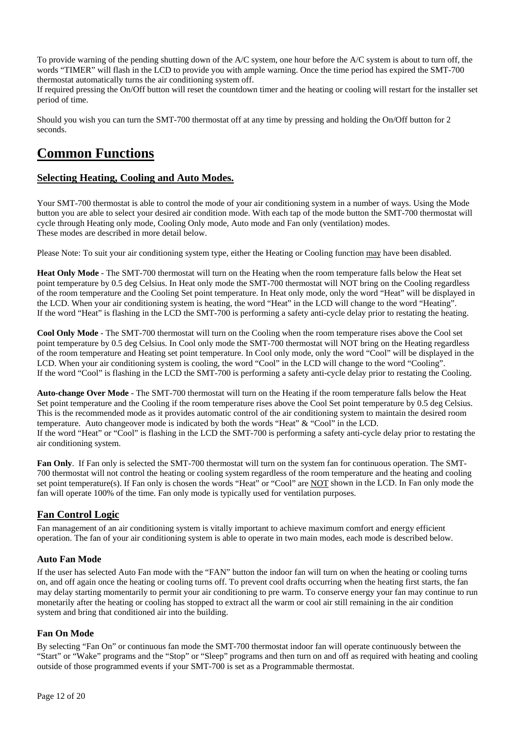To provide warning of the pending shutting down of the A/C system, one hour before the A/C system is about to turn off, the words "TIMER" will flash in the LCD to provide you with ample warning. Once the time period has expired the SMT-700 thermostat automatically turns the air conditioning system off.

If required pressing the On/Off button will reset the countdown timer and the heating or cooling will restart for the installer set period of time.

Should you wish you can turn the SMT-700 thermostat off at any time by pressing and holding the On/Off button for 2 seconds.

# **Common Functions**

# **Selecting Heating, Cooling and Auto Modes.**

Your SMT-700 thermostat is able to control the mode of your air conditioning system in a number of ways. Using the Mode button you are able to select your desired air condition mode. With each tap of the mode button the SMT-700 thermostat will cycle through Heating only mode, Cooling Only mode, Auto mode and Fan only (ventilation) modes. These modes are described in more detail below.

Please Note: To suit your air conditioning system type, either the Heating or Cooling function may have been disabled.

**Heat Only Mode** - The SMT-700 thermostat will turn on the Heating when the room temperature falls below the Heat set point temperature by 0.5 deg Celsius. In Heat only mode the SMT-700 thermostat will NOT bring on the Cooling regardless of the room temperature and the Cooling Set point temperature. In Heat only mode, only the word "Heat" will be displayed in the LCD. When your air conditioning system is heating, the word "Heat" in the LCD will change to the word "Heating". If the word "Heat" is flashing in the LCD the SMT-700 is performing a safety anti-cycle delay prior to restating the heating.

**Cool Only Mode** - The SMT-700 thermostat will turn on the Cooling when the room temperature rises above the Cool set point temperature by 0.5 deg Celsius. In Cool only mode the SMT-700 thermostat will NOT bring on the Heating regardless of the room temperature and Heating set point temperature. In Cool only mode, only the word "Cool" will be displayed in the LCD. When your air conditioning system is cooling, the word "Cool" in the LCD will change to the word "Cooling". If the word "Cool" is flashing in the LCD the SMT-700 is performing a safety anti-cycle delay prior to restating the Cooling.

**Auto-change Over Mode** - The SMT-700 thermostat will turn on the Heating if the room temperature falls below the Heat Set point temperature and the Cooling if the room temperature rises above the Cool Set point temperature by 0.5 deg Celsius. This is the recommended mode as it provides automatic control of the air conditioning system to maintain the desired room temperature. Auto changeover mode is indicated by both the words "Heat" & "Cool" in the LCD. If the word "Heat" or "Cool" is flashing in the LCD the SMT-700 is performing a safety anti-cycle delay prior to restating the air conditioning system.

**Fan Only**. If Fan only is selected the SMT-700 thermostat will turn on the system fan for continuous operation. The SMT-700 thermostat will not control the heating or cooling system regardless of the room temperature and the heating and cooling set point temperature(s). If Fan only is chosen the words "Heat" or "Cool" are NOT shown in the LCD. In Fan only mode the fan will operate 100% of the time. Fan only mode is typically used for ventilation purposes.

# **Fan Control Logic**

Fan management of an air conditioning system is vitally important to achieve maximum comfort and energy efficient operation. The fan of your air conditioning system is able to operate in two main modes, each mode is described below.

# **Auto Fan Mode**

If the user has selected Auto Fan mode with the "FAN" button the indoor fan will turn on when the heating or cooling turns on, and off again once the heating or cooling turns off. To prevent cool drafts occurring when the heating first starts, the fan may delay starting momentarily to permit your air conditioning to pre warm. To conserve energy your fan may continue to run monetarily after the heating or cooling has stopped to extract all the warm or cool air still remaining in the air condition system and bring that conditioned air into the building.

# **Fan On Mode**

By selecting "Fan On" or continuous fan mode the SMT-700 thermostat indoor fan will operate continuously between the "Start" or "Wake" programs and the "Stop" or "Sleep" programs and then turn on and off as required with heating and cooling outside of those programmed events if your SMT-700 is set as a Programmable thermostat.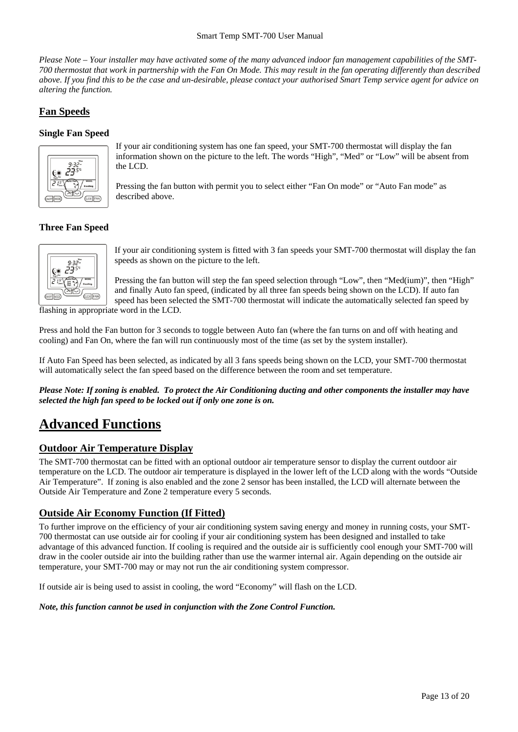#### Smart Temp SMT-700 User Manual

*Please Note – Your installer may have activated some of the many advanced indoor fan management capabilities of the SMT-700 thermostat that work in partnership with the Fan On Mode. This may result in the fan operating differently than described above. If you find this to be the case and un-desirable, please contact your authorised Smart Temp service agent for advice on altering the function.* 

# **Fan Speeds**

# **Single Fan Speed**



If your air conditioning system has one fan speed, your SMT-700 thermostat will display the fan information shown on the picture to the left. The words "High", "Med" or "Low" will be absent from the LCD.

Pressing the fan button with permit you to select either "Fan On mode" or "Auto Fan mode" as described above.

# **Three Fan Speed**



If your air conditioning system is fitted with 3 fan speeds your SMT-700 thermostat will display the fan speeds as shown on the picture to the left.

Pressing the fan button will step the fan speed selection through "Low", then "Med(ium)", then "High" and finally Auto fan speed, (indicated by all three fan speeds being shown on the LCD). If auto fan speed has been selected the SMT-700 thermostat will indicate the automatically selected fan speed by

flashing in appropriate word in the LCD.

Press and hold the Fan button for 3 seconds to toggle between Auto fan (where the fan turns on and off with heating and cooling) and Fan On, where the fan will run continuously most of the time (as set by the system installer).

If Auto Fan Speed has been selected, as indicated by all 3 fans speeds being shown on the LCD, your SMT-700 thermostat will automatically select the fan speed based on the difference between the room and set temperature.

*Please Note: If zoning is enabled. To protect the Air Conditioning ducting and other components the installer may have selected the high fan speed to be locked out if only one zone is on.* 

# **Advanced Functions**

# **Outdoor Air Temperature Display**

The SMT-700 thermostat can be fitted with an optional outdoor air temperature sensor to display the current outdoor air temperature on the LCD. The outdoor air temperature is displayed in the lower left of the LCD along with the words "Outside Air Temperature". If zoning is also enabled and the zone 2 sensor has been installed, the LCD will alternate between the Outside Air Temperature and Zone 2 temperature every 5 seconds.

# **Outside Air Economy Function (If Fitted)**

To further improve on the efficiency of your air conditioning system saving energy and money in running costs, your SMT-700 thermostat can use outside air for cooling if your air conditioning system has been designed and installed to take advantage of this advanced function. If cooling is required and the outside air is sufficiently cool enough your SMT-700 will draw in the cooler outside air into the building rather than use the warmer internal air. Again depending on the outside air temperature, your SMT-700 may or may not run the air conditioning system compressor.

If outside air is being used to assist in cooling, the word "Economy" will flash on the LCD.

*Note, this function cannot be used in conjunction with the Zone Control Function.*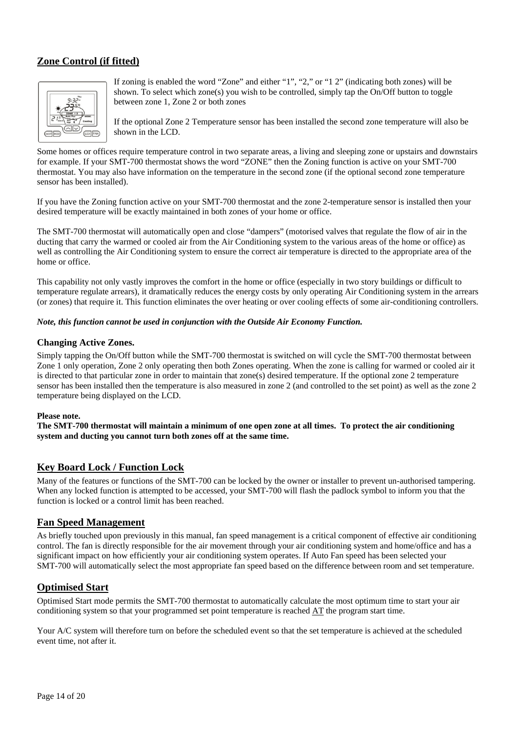# **Zone Control (if fitted)**



If zoning is enabled the word "Zone" and either "1", "2," or "1 2" (indicating both zones) will be shown. To select which zone(s) you wish to be controlled, simply tap the On/Off button to toggle between zone 1, Zone 2 or both zones

If the optional Zone 2 Temperature sensor has been installed the second zone temperature will also be shown in the LCD.

Some homes or offices require temperature control in two separate areas, a living and sleeping zone or upstairs and downstairs for example. If your SMT-700 thermostat shows the word "ZONE" then the Zoning function is active on your SMT-700 thermostat. You may also have information on the temperature in the second zone (if the optional second zone temperature sensor has been installed).

If you have the Zoning function active on your SMT-700 thermostat and the zone 2-temperature sensor is installed then your desired temperature will be exactly maintained in both zones of your home or office.

The SMT-700 thermostat will automatically open and close "dampers" (motorised valves that regulate the flow of air in the ducting that carry the warmed or cooled air from the Air Conditioning system to the various areas of the home or office) as well as controlling the Air Conditioning system to ensure the correct air temperature is directed to the appropriate area of the home or office.

This capability not only vastly improves the comfort in the home or office (especially in two story buildings or difficult to temperature regulate arrears), it dramatically reduces the energy costs by only operating Air Conditioning system in the arrears (or zones) that require it. This function eliminates the over heating or over cooling effects of some air-conditioning controllers.

# *Note, this function cannot be used in conjunction with the Outside Air Economy Function.*

# **Changing Active Zones.**

Simply tapping the On/Off button while the SMT-700 thermostat is switched on will cycle the SMT-700 thermostat between Zone 1 only operation, Zone 2 only operating then both Zones operating. When the zone is calling for warmed or cooled air it is directed to that particular zone in order to maintain that zone(s) desired temperature. If the optional zone 2 temperature sensor has been installed then the temperature is also measured in zone 2 (and controlled to the set point) as well as the zone 2 temperature being displayed on the LCD.

# **Please note.**

**The SMT-700 thermostat will maintain a minimum of one open zone at all times. To protect the air conditioning system and ducting you cannot turn both zones off at the same time.** 

# **Key Board Lock / Function Lock**

Many of the features or functions of the SMT-700 can be locked by the owner or installer to prevent un-authorised tampering. When any locked function is attempted to be accessed, your SMT-700 will flash the padlock symbol to inform you that the function is locked or a control limit has been reached.

# **Fan Speed Management**

As briefly touched upon previously in this manual, fan speed management is a critical component of effective air conditioning control. The fan is directly responsible for the air movement through your air conditioning system and home/office and has a significant impact on how efficiently your air conditioning system operates. If Auto Fan speed has been selected your SMT-700 will automatically select the most appropriate fan speed based on the difference between room and set temperature.

# **Optimised Start**

Optimised Start mode permits the SMT-700 thermostat to automatically calculate the most optimum time to start your air conditioning system so that your programmed set point temperature is reached AT the program start time.

Your A/C system will therefore turn on before the scheduled event so that the set temperature is achieved at the scheduled event time, not after it.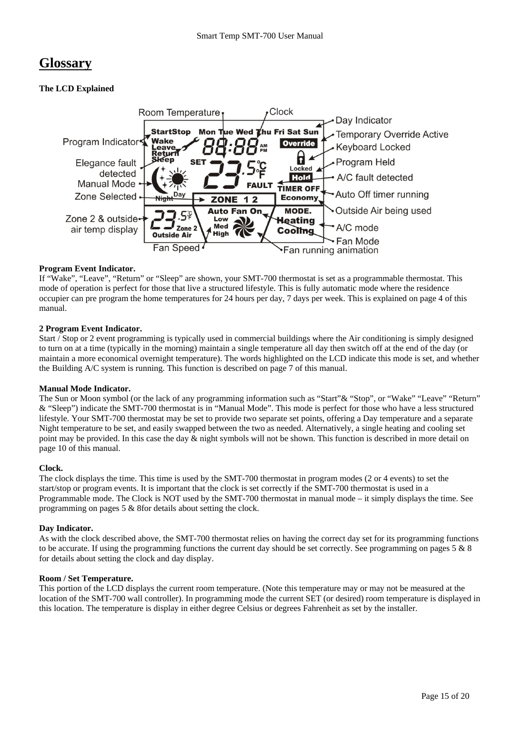# **Glossary**

# **The LCD Explained**



# **Program Event Indicator.**

If "Wake", "Leave", "Return" or "Sleep" are shown, your SMT-700 thermostat is set as a programmable thermostat. This mode of operation is perfect for those that live a structured lifestyle. This is fully automatic mode where the residence occupier can pre program the home temperatures for 24 hours per day, 7 days per week. This is explained on page 4 of this manual.

# **2 Program Event Indicator.**

Start / Stop or 2 event programming is typically used in commercial buildings where the Air conditioning is simply designed to turn on at a time (typically in the morning) maintain a single temperature all day then switch off at the end of the day (or maintain a more economical overnight temperature). The words highlighted on the LCD indicate this mode is set, and whether the Building A/C system is running. This function is described on page 7 of this manual.

# **Manual Mode Indicator.**

The Sun or Moon symbol (or the lack of any programming information such as "Start" & "Stop", or "Wake" "Leave" "Return" & "Sleep") indicate the SMT-700 thermostat is in "Manual Mode". This mode is perfect for those who have a less structured lifestyle. Your SMT-700 thermostat may be set to provide two separate set points, offering a Day temperature and a separate Night temperature to be set, and easily swapped between the two as needed. Alternatively, a single heating and cooling set point may be provided. In this case the day & night symbols will not be shown. This function is described in more detail on page 10 of this manual.

# **Clock.**

The clock displays the time. This time is used by the SMT-700 thermostat in program modes (2 or 4 events) to set the start/stop or program events. It is important that the clock is set correctly if the SMT-700 thermostat is used in a Programmable mode. The Clock is NOT used by the SMT-700 thermostat in manual mode – it simply displays the time. See programming on pages 5 & 8for details about setting the clock.

# **Day Indicator.**

As with the clock described above, the SMT-700 thermostat relies on having the correct day set for its programming functions to be accurate. If using the programming functions the current day should be set correctly. See programming on pages  $5 \& 8$ for details about setting the clock and day display.

# **Room / Set Temperature.**

This portion of the LCD displays the current room temperature. (Note this temperature may or may not be measured at the location of the SMT-700 wall controller). In programming mode the current SET (or desired) room temperature is displayed in this location. The temperature is display in either degree Celsius or degrees Fahrenheit as set by the installer.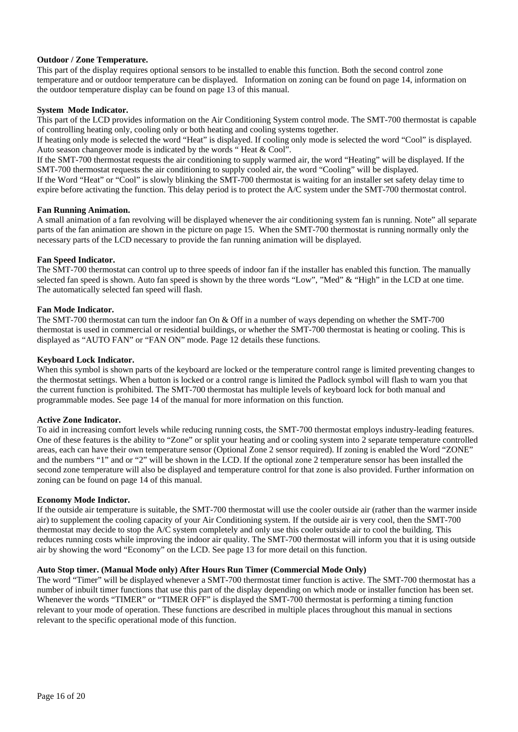# **Outdoor / Zone Temperature.**

This part of the display requires optional sensors to be installed to enable this function. Both the second control zone temperature and or outdoor temperature can be displayed. Information on zoning can be found on page 14, information on the outdoor temperature display can be found on page 13 of this manual.

#### **System Mode Indicator.**

This part of the LCD provides information on the Air Conditioning System control mode. The SMT-700 thermostat is capable of controlling heating only, cooling only or both heating and cooling systems together.

If heating only mode is selected the word "Heat" is displayed. If cooling only mode is selected the word "Cool" is displayed. Auto season changeover mode is indicated by the words " Heat & Cool".

If the SMT-700 thermostat requests the air conditioning to supply warmed air, the word "Heating" will be displayed. If the SMT-700 thermostat requests the air conditioning to supply cooled air, the word "Cooling" will be displayed.

If the Word "Heat" or "Cool" is slowly blinking the SMT-700 thermostat is waiting for an installer set safety delay time to expire before activating the function. This delay period is to protect the A/C system under the SMT-700 thermostat control.

#### **Fan Running Animation.**

A small animation of a fan revolving will be displayed whenever the air conditioning system fan is running. Note" all separate parts of the fan animation are shown in the picture on page 15. When the SMT-700 thermostat is running normally only the necessary parts of the LCD necessary to provide the fan running animation will be displayed.

# **Fan Speed Indicator.**

The SMT-700 thermostat can control up to three speeds of indoor fan if the installer has enabled this function. The manually selected fan speed is shown. Auto fan speed is shown by the three words "Low", "Med" & "High" in the LCD at one time. The automatically selected fan speed will flash.

# **Fan Mode Indicator.**

The SMT-700 thermostat can turn the indoor fan On & Off in a number of ways depending on whether the SMT-700 thermostat is used in commercial or residential buildings, or whether the SMT-700 thermostat is heating or cooling. This is displayed as "AUTO FAN" or "FAN ON" mode. Page 12 details these functions.

# **Keyboard Lock Indicator.**

When this symbol is shown parts of the keyboard are locked or the temperature control range is limited preventing changes to the thermostat settings. When a button is locked or a control range is limited the Padlock symbol will flash to warn you that the current function is prohibited. The SMT-700 thermostat has multiple levels of keyboard lock for both manual and programmable modes. See page 14 of the manual for more information on this function.

# **Active Zone Indicator.**

To aid in increasing comfort levels while reducing running costs, the SMT-700 thermostat employs industry-leading features. One of these features is the ability to "Zone" or split your heating and or cooling system into 2 separate temperature controlled areas, each can have their own temperature sensor (Optional Zone 2 sensor required). If zoning is enabled the Word "ZONE" and the numbers "1" and or "2" will be shown in the LCD. If the optional zone 2 temperature sensor has been installed the second zone temperature will also be displayed and temperature control for that zone is also provided. Further information on zoning can be found on page 14 of this manual.

# **Economy Mode Indictor.**

If the outside air temperature is suitable, the SMT-700 thermostat will use the cooler outside air (rather than the warmer inside air) to supplement the cooling capacity of your Air Conditioning system. If the outside air is very cool, then the SMT-700 thermostat may decide to stop the A/C system completely and only use this cooler outside air to cool the building. This reduces running costs while improving the indoor air quality. The SMT-700 thermostat will inform you that it is using outside air by showing the word "Economy" on the LCD. See page 13 for more detail on this function.

# **Auto Stop timer. (Manual Mode only) After Hours Run Timer (Commercial Mode Only)**

The word "Timer" will be displayed whenever a SMT-700 thermostat timer function is active. The SMT-700 thermostat has a number of inbuilt timer functions that use this part of the display depending on which mode or installer function has been set. Whenever the words "TIMER" or "TIMER OFF" is displayed the SMT-700 thermostat is performing a timing function relevant to your mode of operation. These functions are described in multiple places throughout this manual in sections relevant to the specific operational mode of this function.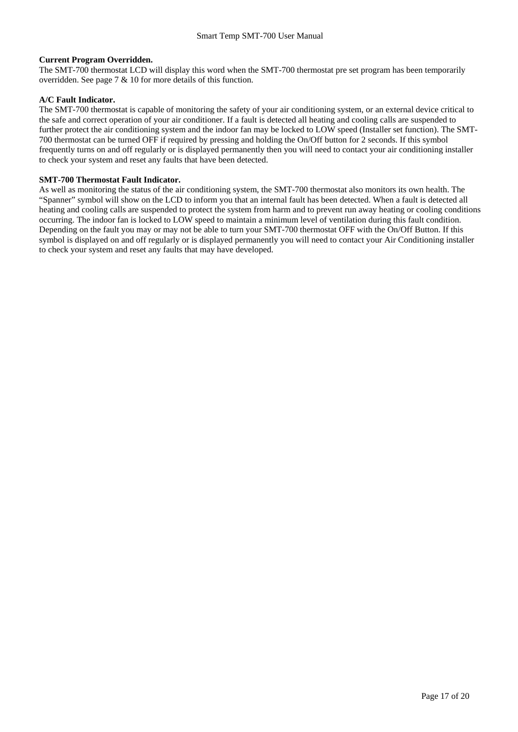#### **Current Program Overridden.**

The SMT-700 thermostat LCD will display this word when the SMT-700 thermostat pre set program has been temporarily overridden. See page 7 & 10 for more details of this function.

#### **A/C Fault Indicator.**

The SMT-700 thermostat is capable of monitoring the safety of your air conditioning system, or an external device critical to the safe and correct operation of your air conditioner. If a fault is detected all heating and cooling calls are suspended to further protect the air conditioning system and the indoor fan may be locked to LOW speed (Installer set function). The SMT-700 thermostat can be turned OFF if required by pressing and holding the On/Off button for 2 seconds. If this symbol frequently turns on and off regularly or is displayed permanently then you will need to contact your air conditioning installer to check your system and reset any faults that have been detected.

#### **SMT-700 Thermostat Fault Indicator.**

As well as monitoring the status of the air conditioning system, the SMT-700 thermostat also monitors its own health. The "Spanner" symbol will show on the LCD to inform you that an internal fault has been detected. When a fault is detected all heating and cooling calls are suspended to protect the system from harm and to prevent run away heating or cooling conditions occurring. The indoor fan is locked to LOW speed to maintain a minimum level of ventilation during this fault condition. Depending on the fault you may or may not be able to turn your SMT-700 thermostat OFF with the On/Off Button. If this symbol is displayed on and off regularly or is displayed permanently you will need to contact your Air Conditioning installer to check your system and reset any faults that may have developed.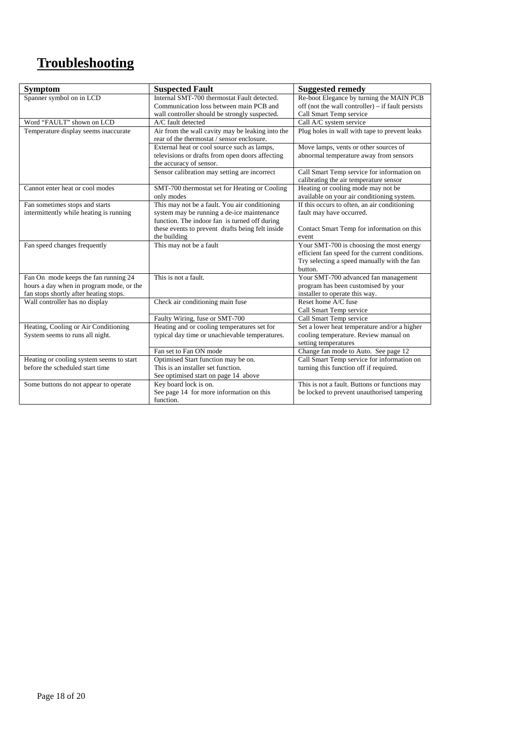# **Troubleshooting**

| <b>Symptom</b>                                                                                                             | <b>Suspected Fault</b>                                                                                                                                                                           | <b>Suggested remedy</b>                                                                                                                               |
|----------------------------------------------------------------------------------------------------------------------------|--------------------------------------------------------------------------------------------------------------------------------------------------------------------------------------------------|-------------------------------------------------------------------------------------------------------------------------------------------------------|
| Spanner symbol on in LCD                                                                                                   | Internal SMT-700 thermostat Fault detected.<br>Communication loss between main PCB and<br>wall controller should be strongly suspected.                                                          | Re-boot Elegance by turning the MAIN PCB<br>off (not the wall controller) $-$ if fault persists<br>Call Smart Temp service                            |
| Word "FAULT" shown on LCD                                                                                                  | A/C fault detected                                                                                                                                                                               | Call A/C system service                                                                                                                               |
| Temperature display seems inaccurate                                                                                       | Air from the wall cavity may be leaking into the<br>rear of the thermostat / sensor enclosure.                                                                                                   | Plug holes in wall with tape to prevent leaks                                                                                                         |
|                                                                                                                            | External heat or cool source such as lamps,<br>televisions or drafts from open doors affecting<br>the accuracy of sensor.                                                                        | Move lamps, vents or other sources of<br>abnormal temperature away from sensors                                                                       |
|                                                                                                                            | Sensor calibration may setting are incorrect                                                                                                                                                     | Call Smart Temp service for information on<br>calibrating the air temperature sensor                                                                  |
| Cannot enter heat or cool modes                                                                                            | SMT-700 thermostat set for Heating or Cooling<br>only modes                                                                                                                                      | Heating or cooling mode may not be<br>available on your air conditioning system.                                                                      |
| Fan sometimes stops and starts<br>intermittently while heating is running                                                  | This may not be a fault. You air conditioning<br>system may be running a de-ice maintenance<br>function. The indoor fan is turned off during<br>these events to prevent drafts being felt inside | If this occurs to often, an air conditioning<br>fault may have occurred.<br>Contact Smart Temp for information on this                                |
|                                                                                                                            | the building                                                                                                                                                                                     | event                                                                                                                                                 |
| Fan speed changes frequently                                                                                               | This may not be a fault                                                                                                                                                                          | Your SMT-700 is choosing the most energy<br>efficient fan speed for the current conditions.<br>Try selecting a speed manually with the fan<br>button. |
| Fan On mode keeps the fan running 24<br>hours a day when in program mode, or the<br>fan stops shortly after heating stops. | This is not a fault.                                                                                                                                                                             | Your SMT-700 advanced fan management<br>program has been customised by your<br>installer to operate this way.                                         |
| Wall controller has no display                                                                                             | Check air conditioning main fuse                                                                                                                                                                 | Reset home A/C fuse<br>Call Smart Temp service                                                                                                        |
|                                                                                                                            | Faulty Wiring, fuse or SMT-700                                                                                                                                                                   | Call Smart Temp service                                                                                                                               |
| Heating, Cooling or Air Conditioning<br>System seems to runs all night.                                                    | Heating and or cooling temperatures set for<br>typical day time or unachievable temperatures.                                                                                                    | Set a lower heat temperature and/or a higher<br>cooling temperature. Review manual on<br>setting temperatures                                         |
|                                                                                                                            | Fan set to Fan ON mode                                                                                                                                                                           | Change fan mode to Auto. See page 12                                                                                                                  |
| Heating or cooling system seems to start<br>before the scheduled start time                                                | Optimised Start function may be on.<br>This is an installer set function.<br>See optimised start on page 14 above                                                                                | Call Smart Temp service for information on<br>turning this function off if required.                                                                  |
| Some buttons do not appear to operate                                                                                      | Key board lock is on.<br>See page 14 for more information on this<br>function.                                                                                                                   | This is not a fault. Buttons or functions may<br>be locked to prevent unauthorised tampering                                                          |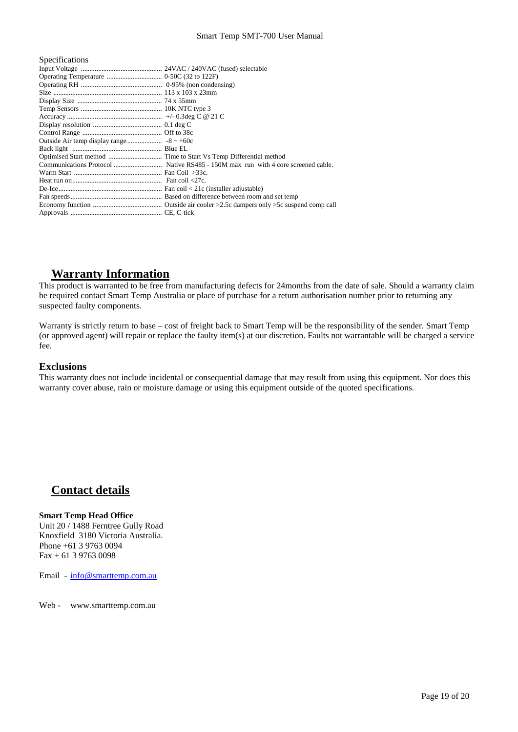#### Smart Temp SMT-700 User Manual

| Specifications |  |
|----------------|--|
|                |  |
|                |  |
|                |  |
|                |  |
|                |  |
|                |  |
|                |  |
|                |  |
|                |  |
|                |  |
|                |  |
|                |  |
|                |  |
|                |  |
|                |  |
|                |  |
|                |  |
|                |  |
|                |  |

# **Warranty Information**

This product is warranted to be free from manufacturing defects for 24months from the date of sale. Should a warranty claim be required contact Smart Temp Australia or place of purchase for a return authorisation number prior to returning any suspected faulty components.

Warranty is strictly return to base – cost of freight back to Smart Temp will be the responsibility of the sender. Smart Temp (or approved agent) will repair or replace the faulty item(s) at our discretion. Faults not warrantable will be charged a service fee.

# **Exclusions**

This warranty does not include incidental or consequential damage that may result from using this equipment. Nor does this warranty cover abuse, rain or moisture damage or using this equipment outside of the quoted specifications.

# **Contact details**

# **Smart Temp Head Office**

Unit 20 / 1488 Ferntree Gully Road Knoxfield 3180 Victoria Australia. Phone +61 3 9763 0094 Fax + 61 3 9763 0098

Email - info@smarttemp.com.au

Web - www.smarttemp.com.au